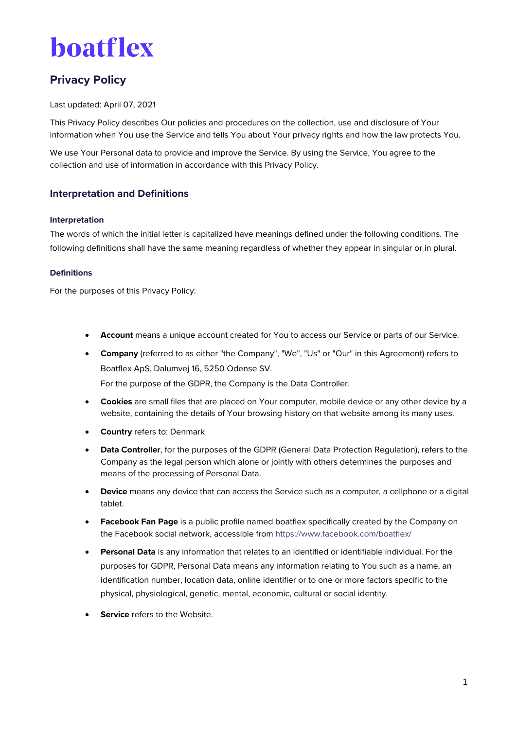### **Privacy Policy**

Last updated: April 07, 2021

This Privacy Policy describes Our policies and procedures on the collection, use and disclosure of Your information when You use the Service and tells You about Your privacy rights and how the law protects You.

We use Your Personal data to provide and improve the Service. By using the Service, You agree to the collection and use of information in accordance with this Privacy Policy.

### **Interpretation and Definitions**

#### **Interpretation**

The words of which the initial letter is capitalized have meanings defined under the following conditions. The following definitions shall have the same meaning regardless of whether they appear in singular or in plural.

#### **Definitions**

For the purposes of this Privacy Policy:

- **Account** means a unique account created for You to access our Service or parts of our Service.
- **Company** (referred to as either "the Company", "We", "Us" or "Our" in this Agreement) refers to Boatflex ApS, Dalumvej 16, 5250 Odense SV. For the purpose of the GDPR, the Company is the Data Controller.
- **Cookies** are small files that are placed on Your computer, mobile device or any other device by a website, containing the details of Your browsing history on that website among its many uses.
- **Country** refers to: Denmark
- **Data Controller**, for the purposes of the GDPR (General Data Protection Regulation), refers to the Company as the legal person which alone or jointly with others determines the purposes and means of the processing of Personal Data.
- **Device** means any device that can access the Service such as a computer, a cellphone or a digital tablet.
- **Facebook Fan Page** is a public profile named boatflex specifically created by the Company on the Facebook social network, accessible from https://www.facebook.com/boatflex/
- **Personal Data** is any information that relates to an identified or identifiable individual. For the purposes for GDPR, Personal Data means any information relating to You such as a name, an identification number, location data, online identifier or to one or more factors specific to the physical, physiological, genetic, mental, economic, cultural or social identity.
- **Service** refers to the Website.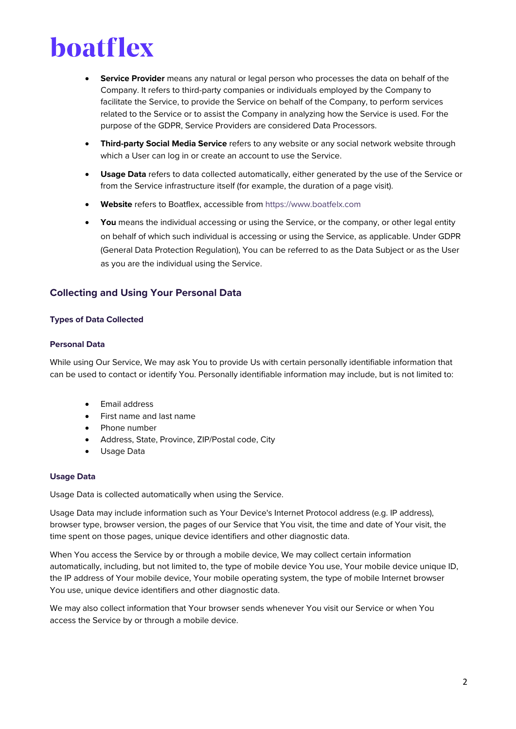- **Service Provider** means any natural or legal person who processes the data on behalf of the Company. It refers to third-party companies or individuals employed by the Company to facilitate the Service, to provide the Service on behalf of the Company, to perform services related to the Service or to assist the Company in analyzing how the Service is used. For the purpose of the GDPR, Service Providers are considered Data Processors.
- **Third-party Social Media Service** refers to any website or any social network website through which a User can log in or create an account to use the Service.
- **Usage Data** refers to data collected automatically, either generated by the use of the Service or from the Service infrastructure itself (for example, the duration of a page visit).
- **Website** refers to Boatflex, accessible from https://www.boatfelx.com
- **You** means the individual accessing or using the Service, or the company, or other legal entity on behalf of which such individual is accessing or using the Service, as applicable. Under GDPR (General Data Protection Regulation), You can be referred to as the Data Subject or as the User as you are the individual using the Service.

### **Collecting and Using Your Personal Data**

#### **Types of Data Collected**

#### **Personal Data**

While using Our Service, We may ask You to provide Us with certain personally identifiable information that can be used to contact or identify You. Personally identifiable information may include, but is not limited to:

- Email address
- First name and last name
- Phone number
- Address, State, Province, ZIP/Postal code, City
- Usage Data

#### **Usage Data**

Usage Data is collected automatically when using the Service.

Usage Data may include information such as Your Device's Internet Protocol address (e.g. IP address), browser type, browser version, the pages of our Service that You visit, the time and date of Your visit, the time spent on those pages, unique device identifiers and other diagnostic data.

When You access the Service by or through a mobile device, We may collect certain information automatically, including, but not limited to, the type of mobile device You use, Your mobile device unique ID, the IP address of Your mobile device, Your mobile operating system, the type of mobile Internet browser You use, unique device identifiers and other diagnostic data.

We may also collect information that Your browser sends whenever You visit our Service or when You access the Service by or through a mobile device.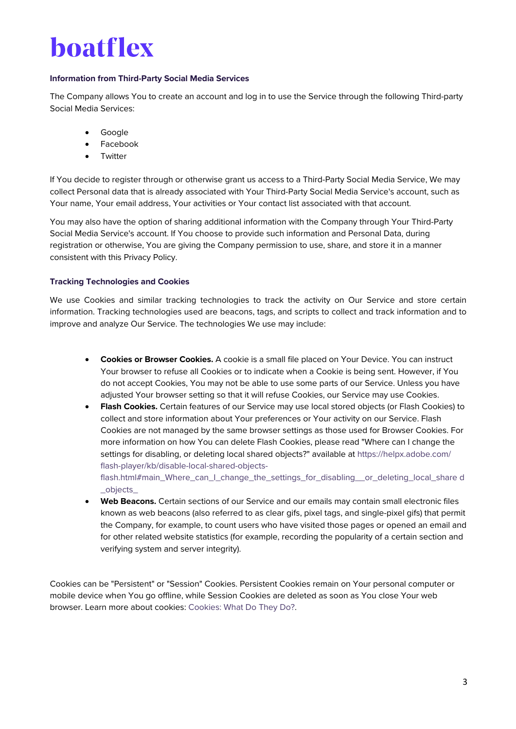#### **Information from Third-Party Social Media Services**

The Company allows You to create an account and log in to use the Service through the following Third-party Social Media Services:

- **Google**
- Facebook
- Twitter

If You decide to register through or otherwise grant us access to a Third-Party Social Media Service, We may collect Personal data that is already associated with Your Third-Party Social Media Service's account, such as Your name, Your email address, Your activities or Your contact list associated with that account.

You may also have the option of sharing additional information with the Company through Your Third-Party Social Media Service's account. If You choose to provide such information and Personal Data, during registration or otherwise, You are giving the Company permission to use, share, and store it in a manner consistent with this Privacy Policy.

#### **Tracking Technologies and Cookies**

We use Cookies and similar tracking technologies to track the activity on Our Service and store certain information. Tracking technologies used are beacons, tags, and scripts to collect and track information and to improve and analyze Our Service. The technologies We use may include:

- **Cookies or Browser Cookies.** A cookie is a small file placed on Your Device. You can instruct Your browser to refuse all Cookies or to indicate when a Cookie is being sent. However, if You do not accept Cookies, You may not be able to use some parts of our Service. Unless you have adjusted Your browser setting so that it will refuse Cookies, our Service may use Cookies.
- **Flash Cookies.** Certain features of our Service may use local stored objects (or Flash Cookies) to collect and store information about Your preferences or Your activity on our Service. Flash Cookies are not managed by the same browser settings as those used for Browser Cookies. For more information on how You can delete Flash Cookies, please read "Where can I change the settings for disabling, or deleting local shared objects?" available at https://helpx.adobe.com/ flash-player/kb/disable-local-shared-objects-

flash.html#main\_Where\_can\_I\_change\_the\_settings\_for\_disabling\_\_or\_deleting\_local\_share d \_objects\_

• **Web Beacons.** Certain sections of our Service and our emails may contain small electronic files known as web beacons (also referred to as clear gifs, pixel tags, and single-pixel gifs) that permit the Company, for example, to count users who have visited those pages or opened an email and for other related website statistics (for example, recording the popularity of a certain section and verifying system and server integrity).

Cookies can be "Persistent" or "Session" Cookies. Persistent Cookies remain on Your personal computer or mobile device when You go offline, while Session Cookies are deleted as soon as You close Your web browser. Learn more about cookies: Cookies: What Do They Do?.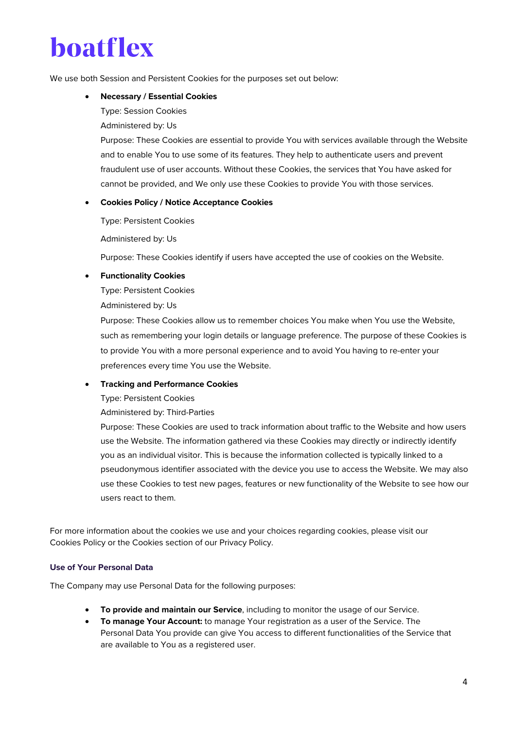We use both Session and Persistent Cookies for the purposes set out below:

#### • **Necessary / Essential Cookies**

Type: Session Cookies

Administered by: Us

Purpose: These Cookies are essential to provide You with services available through the Website and to enable You to use some of its features. They help to authenticate users and prevent fraudulent use of user accounts. Without these Cookies, the services that You have asked for cannot be provided, and We only use these Cookies to provide You with those services.

#### • **Cookies Policy / Notice Acceptance Cookies**

Type: Persistent Cookies

Administered by: Us

Purpose: These Cookies identify if users have accepted the use of cookies on the Website.

#### • **Functionality Cookies**

Type: Persistent Cookies

Administered by: Us

Purpose: These Cookies allow us to remember choices You make when You use the Website, such as remembering your login details or language preference. The purpose of these Cookies is to provide You with a more personal experience and to avoid You having to re-enter your preferences every time You use the Website.

### • **Tracking and Performance Cookies**

Type: Persistent Cookies

Administered by: Third-Parties

Purpose: These Cookies are used to track information about traffic to the Website and how users use the Website. The information gathered via these Cookies may directly or indirectly identify you as an individual visitor. This is because the information collected is typically linked to a pseudonymous identifier associated with the device you use to access the Website. We may also use these Cookies to test new pages, features or new functionality of the Website to see how our users react to them.

For more information about the cookies we use and your choices regarding cookies, please visit our Cookies Policy or the Cookies section of our Privacy Policy.

#### **Use of Your Personal Data**

The Company may use Personal Data for the following purposes:

- **To provide and maintain our Service**, including to monitor the usage of our Service.
- **To manage Your Account:** to manage Your registration as a user of the Service. The Personal Data You provide can give You access to different functionalities of the Service that are available to You as a registered user.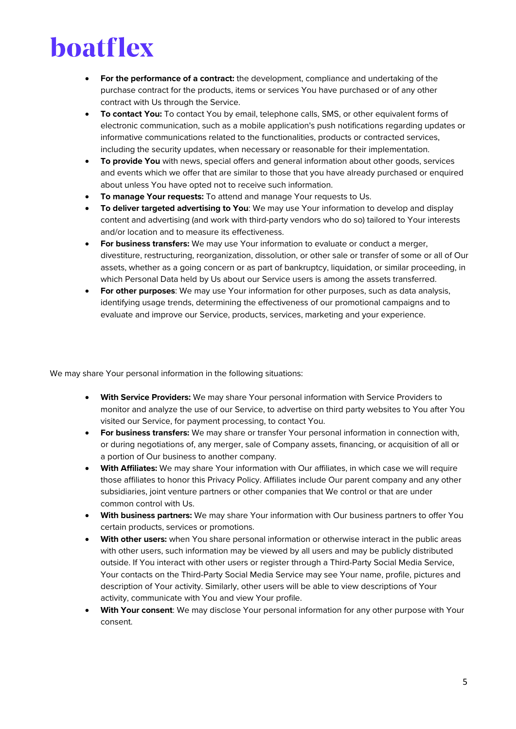- **For the performance of a contract:** the development, compliance and undertaking of the purchase contract for the products, items or services You have purchased or of any other contract with Us through the Service.
- **To contact You:** To contact You by email, telephone calls, SMS, or other equivalent forms of electronic communication, such as a mobile application's push notifications regarding updates or informative communications related to the functionalities, products or contracted services, including the security updates, when necessary or reasonable for their implementation.
- **To provide You** with news, special offers and general information about other goods, services and events which we offer that are similar to those that you have already purchased or enquired about unless You have opted not to receive such information.
- **To manage Your requests:** To attend and manage Your requests to Us.
- **To deliver targeted advertising to You**: We may use Your information to develop and display content and advertising (and work with third-party vendors who do so) tailored to Your interests and/or location and to measure its effectiveness.
- **For business transfers:** We may use Your information to evaluate or conduct a merger, divestiture, restructuring, reorganization, dissolution, or other sale or transfer of some or all of Our assets, whether as a going concern or as part of bankruptcy, liquidation, or similar proceeding, in which Personal Data held by Us about our Service users is among the assets transferred.
- **For other purposes**: We may use Your information for other purposes, such as data analysis, identifying usage trends, determining the effectiveness of our promotional campaigns and to evaluate and improve our Service, products, services, marketing and your experience.

We may share Your personal information in the following situations:

- **With Service Providers:** We may share Your personal information with Service Providers to monitor and analyze the use of our Service, to advertise on third party websites to You after You visited our Service, for payment processing, to contact You.
- **For business transfers:** We may share or transfer Your personal information in connection with, or during negotiations of, any merger, sale of Company assets, financing, or acquisition of all or a portion of Our business to another company.
- **With Affiliates:** We may share Your information with Our affiliates, in which case we will require those affiliates to honor this Privacy Policy. Affiliates include Our parent company and any other subsidiaries, joint venture partners or other companies that We control or that are under common control with Us.
- **With business partners:** We may share Your information with Our business partners to offer You certain products, services or promotions.
- **With other users:** when You share personal information or otherwise interact in the public areas with other users, such information may be viewed by all users and may be publicly distributed outside. If You interact with other users or register through a Third-Party Social Media Service, Your contacts on the Third-Party Social Media Service may see Your name, profile, pictures and description of Your activity. Similarly, other users will be able to view descriptions of Your activity, communicate with You and view Your profile.
- **With Your consent**: We may disclose Your personal information for any other purpose with Your consent.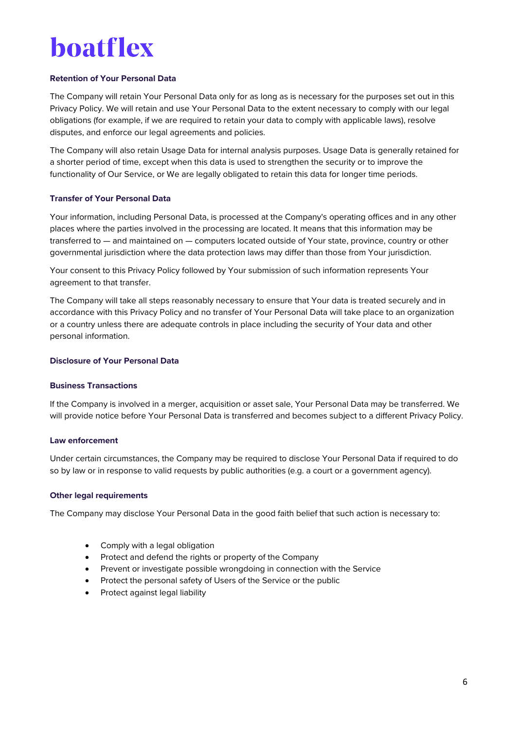#### **Retention of Your Personal Data**

The Company will retain Your Personal Data only for as long as is necessary for the purposes set out in this Privacy Policy. We will retain and use Your Personal Data to the extent necessary to comply with our legal obligations (for example, if we are required to retain your data to comply with applicable laws), resolve disputes, and enforce our legal agreements and policies.

The Company will also retain Usage Data for internal analysis purposes. Usage Data is generally retained for a shorter period of time, except when this data is used to strengthen the security or to improve the functionality of Our Service, or We are legally obligated to retain this data for longer time periods.

### **Transfer of Your Personal Data**

Your information, including Personal Data, is processed at the Company's operating offices and in any other places where the parties involved in the processing are located. It means that this information may be transferred to — and maintained on — computers located outside of Your state, province, country or other governmental jurisdiction where the data protection laws may differ than those from Your jurisdiction.

Your consent to this Privacy Policy followed by Your submission of such information represents Your agreement to that transfer.

The Company will take all steps reasonably necessary to ensure that Your data is treated securely and in accordance with this Privacy Policy and no transfer of Your Personal Data will take place to an organization or a country unless there are adequate controls in place including the security of Your data and other personal information.

#### **Disclosure of Your Personal Data**

#### **Business Transactions**

If the Company is involved in a merger, acquisition or asset sale, Your Personal Data may be transferred. We will provide notice before Your Personal Data is transferred and becomes subject to a different Privacy Policy.

#### **Law enforcement**

Under certain circumstances, the Company may be required to disclose Your Personal Data if required to do so by law or in response to valid requests by public authorities (e.g. a court or a government agency).

#### **Other legal requirements**

The Company may disclose Your Personal Data in the good faith belief that such action is necessary to:

- Comply with a legal obligation
- Protect and defend the rights or property of the Company
- Prevent or investigate possible wrongdoing in connection with the Service
- Protect the personal safety of Users of the Service or the public
- Protect against legal liability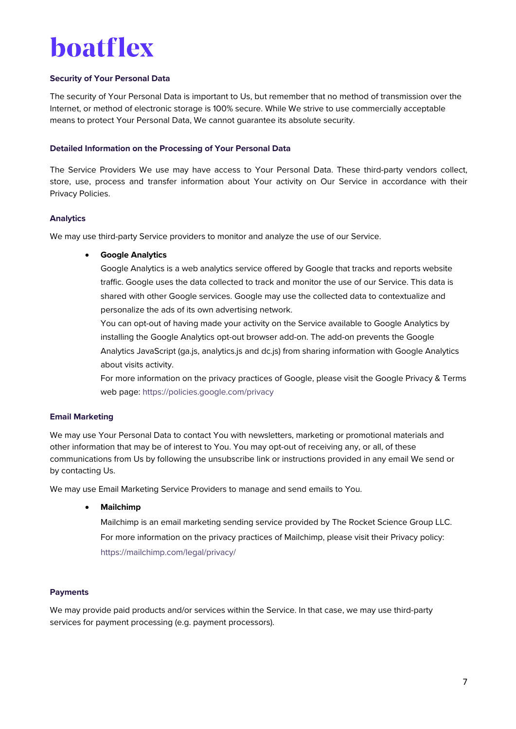#### **Security of Your Personal Data**

The security of Your Personal Data is important to Us, but remember that no method of transmission over the Internet, or method of electronic storage is 100% secure. While We strive to use commercially acceptable means to protect Your Personal Data, We cannot guarantee its absolute security.

#### **Detailed Information on the Processing of Your Personal Data**

The Service Providers We use may have access to Your Personal Data. These third-party vendors collect, store, use, process and transfer information about Your activity on Our Service in accordance with their Privacy Policies.

#### **Analytics**

We may use third-party Service providers to monitor and analyze the use of our Service.

#### • **Google Analytics**

Google Analytics is a web analytics service offered by Google that tracks and reports website traffic. Google uses the data collected to track and monitor the use of our Service. This data is shared with other Google services. Google may use the collected data to contextualize and personalize the ads of its own advertising network.

You can opt-out of having made your activity on the Service available to Google Analytics by installing the Google Analytics opt-out browser add-on. The add-on prevents the Google Analytics JavaScript (ga.js, analytics.js and dc.js) from sharing information with Google Analytics about visits activity.

For more information on the privacy practices of Google, please visit the Google Privacy & Terms web page: https://policies.google.com/privacy

#### **Email Marketing**

We may use Your Personal Data to contact You with newsletters, marketing or promotional materials and other information that may be of interest to You. You may opt-out of receiving any, or all, of these communications from Us by following the unsubscribe link or instructions provided in any email We send or by contacting Us.

We may use Email Marketing Service Providers to manage and send emails to You.

• **Mailchimp**

Mailchimp is an email marketing sending service provided by The Rocket Science Group LLC. For more information on the privacy practices of Mailchimp, please visit their Privacy policy: https://mailchimp.com/legal/privacy/

#### **Payments**

We may provide paid products and/or services within the Service. In that case, we may use third-party services for payment processing (e.g. payment processors).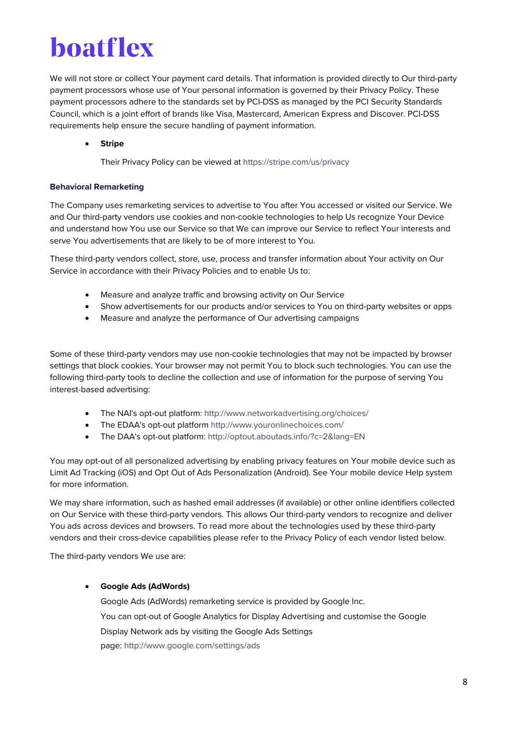We will not store or collect Your payment card details. That information is provided directly to Our third-party payment processors whose use of Your personal information is governed by their Privacy Policy. These payment processors adhere to the standards set by PCI-DSS as managed by the PCI Security Standards Council, which is a joint effort of brands like Visa, Mastercard, American Express and Discover. PCI-DSS requirements help ensure the secure handling of payment information.

• **Stripe**

Their Privacy Policy can be viewed at https://stripe.com/us/privacy

#### **Behavioral Remarketing**

The Company uses remarketing services to advertise to You after You accessed or visited our Service. We and Our third-party vendors use cookies and non-cookie technologies to help Us recognize Your Device and understand how You use our Service so that We can improve our Service to reflect Your interests and serve You advertisements that are likely to be of more interest to You.

These third-party vendors collect, store, use, process and transfer information about Your activity on Our Service in accordance with their Privacy Policies and to enable Us to:

- Measure and analyze traffic and browsing activity on Our Service
- Show advertisements for our products and/or services to You on third-party websites or apps
- Measure and analyze the performance of Our advertising campaigns

Some of these third-party vendors may use non-cookie technologies that may not be impacted by browser settings that block cookies. Your browser may not permit You to block such technologies. You can use the following third-party tools to decline the collection and use of information for the purpose of serving You interest-based advertising:

- The NAI's opt-out platform: http://www.networkadvertising.org/choices/
- The EDAA's opt-out platform http://www.youronlinechoices.com/
- The DAA's opt-out platform: http://optout.aboutads.info/?c=2&lang=EN

You may opt-out of all personalized advertising by enabling privacy features on Your mobile device such as Limit Ad Tracking (iOS) and Opt Out of Ads Personalization (Android). See Your mobile device Help system for more information.

We may share information, such as hashed email addresses (if available) or other online identifiers collected on Our Service with these third-party vendors. This allows Our third-party vendors to recognize and deliver You ads across devices and browsers. To read more about the technologies used by these third-party vendors and their cross-device capabilities please refer to the Privacy Policy of each vendor listed below.

The third-party vendors We use are:

### • **Google Ads (AdWords)**

Google Ads (AdWords) remarketing service is provided by Google Inc. You can opt-out of Google Analytics for Display Advertising and customise the Google Display Network ads by visiting the Google Ads Settings page: http://www.google.com/settings/ads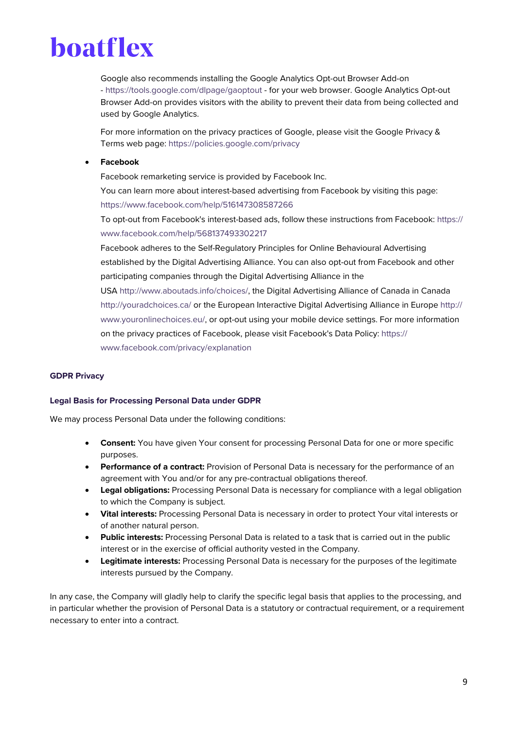Google also recommends installing the Google Analytics Opt-out Browser Add-on - https://tools.google.com/dlpage/gaoptout - for your web browser. Google Analytics Opt-out Browser Add-on provides visitors with the ability to prevent their data from being collected and used by Google Analytics.

For more information on the privacy practices of Google, please visit the Google Privacy & Terms web page: https://policies.google.com/privacy

#### • **Facebook**

Facebook remarketing service is provided by Facebook Inc.

You can learn more about interest-based advertising from Facebook by visiting this page: https://www.facebook.com/help/516147308587266

To opt-out from Facebook's interest-based ads, follow these instructions from Facebook: https:// www.facebook.com/help/568137493302217

Facebook adheres to the Self-Regulatory Principles for Online Behavioural Advertising established by the Digital Advertising Alliance. You can also opt-out from Facebook and other participating companies through the Digital Advertising Alliance in the

USA http://www.aboutads.info/choices/, the Digital Advertising Alliance of Canada in Canada http://youradchoices.ca/ or the European Interactive Digital Advertising Alliance in Europe http:// www.youronlinechoices.eu/, or opt-out using your mobile device settings. For more information on the privacy practices of Facebook, please visit Facebook's Data Policy: https:// www.facebook.com/privacy/explanation

### **GDPR Privacy**

#### **Legal Basis for Processing Personal Data under GDPR**

We may process Personal Data under the following conditions:

- **Consent:** You have given Your consent for processing Personal Data for one or more specific purposes.
- **Performance of a contract:** Provision of Personal Data is necessary for the performance of an agreement with You and/or for any pre-contractual obligations thereof.
- **Legal obligations:** Processing Personal Data is necessary for compliance with a legal obligation to which the Company is subject.
- **Vital interests:** Processing Personal Data is necessary in order to protect Your vital interests or of another natural person.
- **Public interests:** Processing Personal Data is related to a task that is carried out in the public interest or in the exercise of official authority vested in the Company.
- **Legitimate interests:** Processing Personal Data is necessary for the purposes of the legitimate interests pursued by the Company.

In any case, the Company will gladly help to clarify the specific legal basis that applies to the processing, and in particular whether the provision of Personal Data is a statutory or contractual requirement, or a requirement necessary to enter into a contract.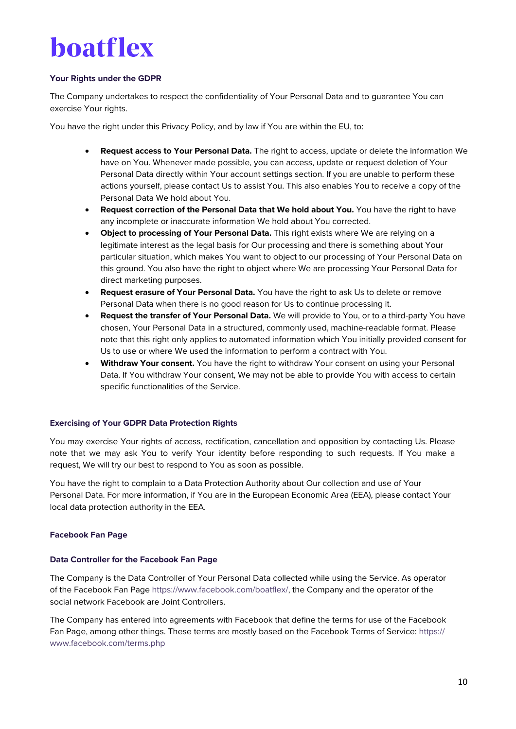#### **Your Rights under the GDPR**

The Company undertakes to respect the confidentiality of Your Personal Data and to guarantee You can exercise Your rights.

You have the right under this Privacy Policy, and by law if You are within the EU, to:

- **Request access to Your Personal Data.** The right to access, update or delete the information We have on You. Whenever made possible, you can access, update or request deletion of Your Personal Data directly within Your account settings section. If you are unable to perform these actions yourself, please contact Us to assist You. This also enables You to receive a copy of the Personal Data We hold about You.
- **Request correction of the Personal Data that We hold about You.** You have the right to have any incomplete or inaccurate information We hold about You corrected.
- **Object to processing of Your Personal Data.** This right exists where We are relying on a legitimate interest as the legal basis for Our processing and there is something about Your particular situation, which makes You want to object to our processing of Your Personal Data on this ground. You also have the right to object where We are processing Your Personal Data for direct marketing purposes.
- **Request erasure of Your Personal Data.** You have the right to ask Us to delete or remove Personal Data when there is no good reason for Us to continue processing it.
- **Request the transfer of Your Personal Data.** We will provide to You, or to a third-party You have chosen, Your Personal Data in a structured, commonly used, machine-readable format. Please note that this right only applies to automated information which You initially provided consent for Us to use or where We used the information to perform a contract with You.
- **Withdraw Your consent.** You have the right to withdraw Your consent on using your Personal Data. If You withdraw Your consent, We may not be able to provide You with access to certain specific functionalities of the Service.

#### **Exercising of Your GDPR Data Protection Rights**

You may exercise Your rights of access, rectification, cancellation and opposition by contacting Us. Please note that we may ask You to verify Your identity before responding to such requests. If You make a request, We will try our best to respond to You as soon as possible.

You have the right to complain to a Data Protection Authority about Our collection and use of Your Personal Data. For more information, if You are in the European Economic Area (EEA), please contact Your local data protection authority in the EEA.

#### **Facebook Fan Page**

#### **Data Controller for the Facebook Fan Page**

The Company is the Data Controller of Your Personal Data collected while using the Service. As operator of the Facebook Fan Page https://www.facebook.com/boatflex/, the Company and the operator of the social network Facebook are Joint Controllers.

The Company has entered into agreements with Facebook that define the terms for use of the Facebook Fan Page, among other things. These terms are mostly based on the Facebook Terms of Service: https:// www.facebook.com/terms.php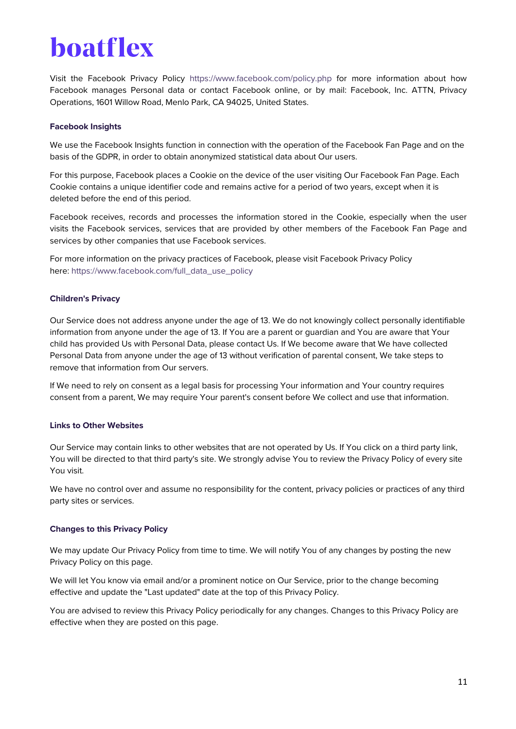Visit the Facebook Privacy Policy https://www.facebook.com/policy.php for more information about how Facebook manages Personal data or contact Facebook online, or by mail: Facebook, Inc. ATTN, Privacy Operations, 1601 Willow Road, Menlo Park, CA 94025, United States.

#### **Facebook Insights**

We use the Facebook Insights function in connection with the operation of the Facebook Fan Page and on the basis of the GDPR, in order to obtain anonymized statistical data about Our users.

For this purpose, Facebook places a Cookie on the device of the user visiting Our Facebook Fan Page. Each Cookie contains a unique identifier code and remains active for a period of two years, except when it is deleted before the end of this period.

Facebook receives, records and processes the information stored in the Cookie, especially when the user visits the Facebook services, services that are provided by other members of the Facebook Fan Page and services by other companies that use Facebook services.

For more information on the privacy practices of Facebook, please visit Facebook Privacy Policy here: https://www.facebook.com/full\_data\_use\_policy

#### **Children's Privacy**

Our Service does not address anyone under the age of 13. We do not knowingly collect personally identifiable information from anyone under the age of 13. If You are a parent or guardian and You are aware that Your child has provided Us with Personal Data, please contact Us. If We become aware that We have collected Personal Data from anyone under the age of 13 without verification of parental consent, We take steps to remove that information from Our servers.

If We need to rely on consent as a legal basis for processing Your information and Your country requires consent from a parent, We may require Your parent's consent before We collect and use that information.

#### **Links to Other Websites**

Our Service may contain links to other websites that are not operated by Us. If You click on a third party link, You will be directed to that third party's site. We strongly advise You to review the Privacy Policy of every site You visit.

We have no control over and assume no responsibility for the content, privacy policies or practices of any third party sites or services.

#### **Changes to this Privacy Policy**

We may update Our Privacy Policy from time to time. We will notify You of any changes by posting the new Privacy Policy on this page.

We will let You know via email and/or a prominent notice on Our Service, prior to the change becoming effective and update the "Last updated" date at the top of this Privacy Policy.

You are advised to review this Privacy Policy periodically for any changes. Changes to this Privacy Policy are effective when they are posted on this page.